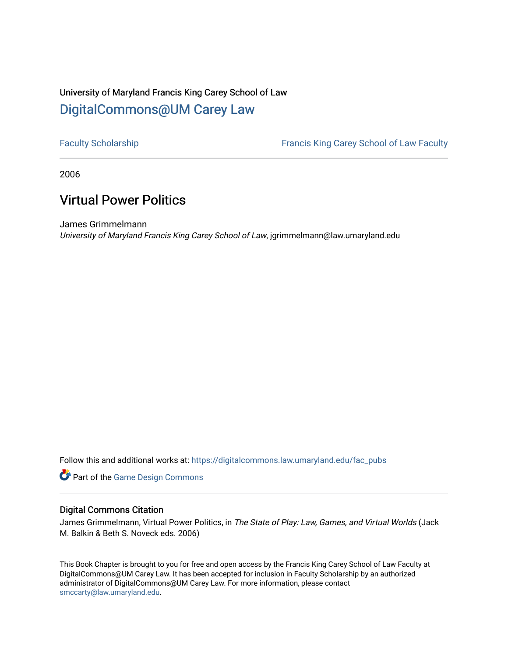# University of Maryland Francis King Carey School of Law [DigitalCommons@UM Carey Law](https://digitalcommons.law.umaryland.edu/)

[Faculty Scholarship](https://digitalcommons.law.umaryland.edu/fac_pubs) **Francis King Carey School of Law Faculty** 

2006

# Virtual Power Politics

James Grimmelmann University of Maryland Francis King Carey School of Law, jgrimmelmann@law.umaryland.edu

Follow this and additional works at: [https://digitalcommons.law.umaryland.edu/fac\\_pubs](https://digitalcommons.law.umaryland.edu/fac_pubs?utm_source=digitalcommons.law.umaryland.edu%2Ffac_pubs%2F1418&utm_medium=PDF&utm_campaign=PDFCoverPages) 

**Part of the [Game Design Commons](http://network.bepress.com/hgg/discipline/1133?utm_source=digitalcommons.law.umaryland.edu%2Ffac_pubs%2F1418&utm_medium=PDF&utm_campaign=PDFCoverPages)** 

#### Digital Commons Citation

James Grimmelmann, Virtual Power Politics, in The State of Play: Law, Games, and Virtual Worlds (Jack M. Balkin & Beth S. Noveck eds. 2006)

This Book Chapter is brought to you for free and open access by the Francis King Carey School of Law Faculty at DigitalCommons@UM Carey Law. It has been accepted for inclusion in Faculty Scholarship by an authorized administrator of DigitalCommons@UM Carey Law. For more information, please contact [smccarty@law.umaryland.edu](mailto:smccarty@law.umaryland.edu).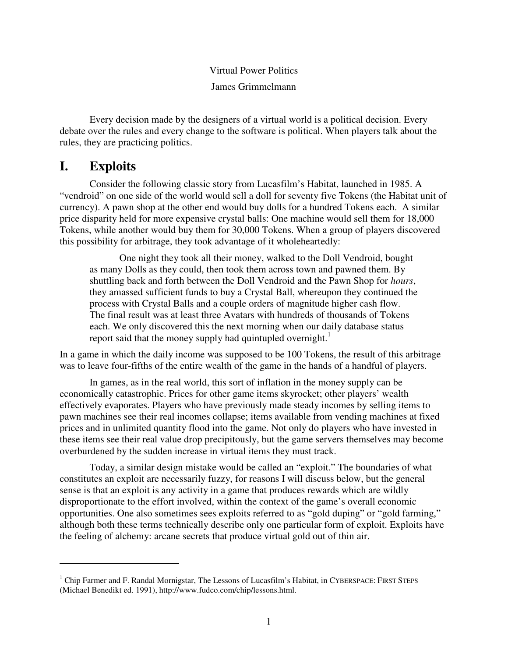#### Virtual Power Politics James Grimmelmann

Every decision made by the designers of a virtual world is a political decision. Every debate over the rules and every change to the software is political. When players talk about the rules, they are practicing politics.

## **I. Exploits**

Consider the following classic story from Lucasfilm's Habitat, launched in 1985. A "vendroid" on one side of the world would sell a doll for seventy five Tokens (the Habitat unit of currency). A pawn shop at the other end would buy dolls for a hundred Tokens each. A similar price disparity held for more expensive crystal balls: One machine would sell them for 18,000 Tokens, while another would buy them for 30,000 Tokens. When a group of players discovered this possibility for arbitrage, they took advantage of it wholeheartedly:

One night they took all their money, walked to the Doll Vendroid, bought as many Dolls as they could, then took them across town and pawned them. By shuttling back and forth between the Doll Vendroid and the Pawn Shop for *hours*, they amassed sufficient funds to buy a Crystal Ball, whereupon they continued the process with Crystal Balls and a couple orders of magnitude higher cash flow. The final result was at least three Avatars with hundreds of thousands of Tokens each. We only discovered this the next morning when our daily database status report said that the money supply had quintupled overnight.<sup>1</sup>

In a game in which the daily income was supposed to be 100 Tokens, the result of this arbitrage was to leave four-fifths of the entire wealth of the game in the hands of a handful of players.

In games, as in the real world, this sort of inflation in the money supply can be economically catastrophic. Prices for other game items skyrocket; other players' wealth effectively evaporates. Players who have previously made steady incomes by selling items to pawn machines see their real incomes collapse; items available from vending machines at fixed prices and in unlimited quantity flood into the game. Not only do players who have invested in these items see their real value drop precipitously, but the game servers themselves may become overburdened by the sudden increase in virtual items they must track.

Today, a similar design mistake would be called an "exploit." The boundaries of what constitutes an exploit are necessarily fuzzy, for reasons I will discuss below, but the general sense is that an exploit is any activity in a game that produces rewards which are wildly disproportionate to the effort involved, within the context of the game's overall economic opportunities. One also sometimes sees exploits referred to as "gold duping" or "gold farming," although both these terms technically describe only one particular form of exploit. Exploits have the feeling of alchemy: arcane secrets that produce virtual gold out of thin air.

 $<sup>1</sup>$  Chip Farmer and F. Randal Mornigstar, The Lessons of Lucasfilm's Habitat, in CYBERSPACE: FIRST STEPS</sup> (Michael Benedikt ed. 1991), http://www.fudco.com/chip/lessons.html.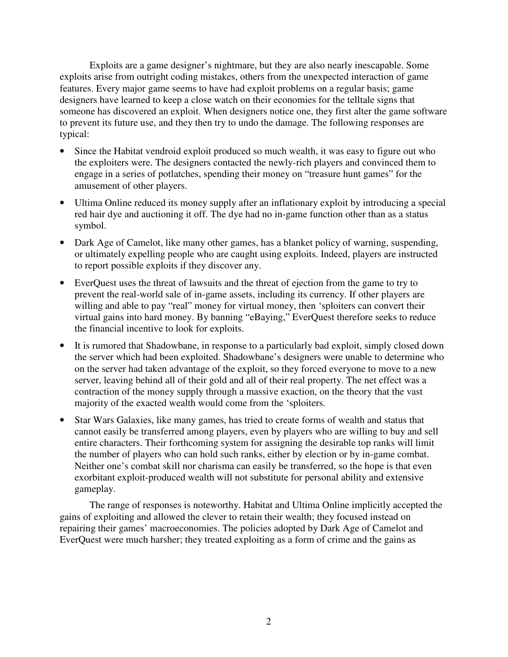Exploits are a game designer's nightmare, but they are also nearly inescapable. Some exploits arise from outright coding mistakes, others from the unexpected interaction of game features. Every major game seems to have had exploit problems on a regular basis; game designers have learned to keep a close watch on their economies for the telltale signs that someone has discovered an exploit. When designers notice one, they first alter the game software to prevent its future use, and they then try to undo the damage. The following responses are typical:

- Since the Habitat vendroid exploit produced so much wealth, it was easy to figure out who the exploiters were. The designers contacted the newly-rich players and convinced them to engage in a series of potlatches, spending their money on "treasure hunt games" for the amusement of other players.
- Ultima Online reduced its money supply after an inflationary exploit by introducing a special red hair dye and auctioning it off. The dye had no in-game function other than as a status symbol.
- Dark Age of Camelot, like many other games, has a blanket policy of warning, suspending, or ultimately expelling people who are caught using exploits. Indeed, players are instructed to report possible exploits if they discover any.
- EverQuest uses the threat of lawsuits and the threat of ejection from the game to try to prevent the real-world sale of in-game assets, including its currency. If other players are willing and able to pay "real" money for virtual money, then 'sploiters can convert their virtual gains into hard money. By banning "eBaying," EverQuest therefore seeks to reduce the financial incentive to look for exploits.
- It is rumored that Shadowbane, in response to a particularly bad exploit, simply closed down the server which had been exploited. Shadowbane's designers were unable to determine who on the server had taken advantage of the exploit, so they forced everyone to move to a new server, leaving behind all of their gold and all of their real property. The net effect was a contraction of the money supply through a massive exaction, on the theory that the vast majority of the exacted wealth would come from the 'sploiters.
- Star Wars Galaxies, like many games, has tried to create forms of wealth and status that cannot easily be transferred among players, even by players who are willing to buy and sell entire characters. Their forthcoming system for assigning the desirable top ranks will limit the number of players who can hold such ranks, either by election or by in-game combat. Neither one's combat skill nor charisma can easily be transferred, so the hope is that even exorbitant exploit-produced wealth will not substitute for personal ability and extensive gameplay.

The range of responses is noteworthy. Habitat and Ultima Online implicitly accepted the gains of exploiting and allowed the clever to retain their wealth; they focused instead on repairing their games' macroeconomies. The policies adopted by Dark Age of Camelot and EverQuest were much harsher; they treated exploiting as a form of crime and the gains as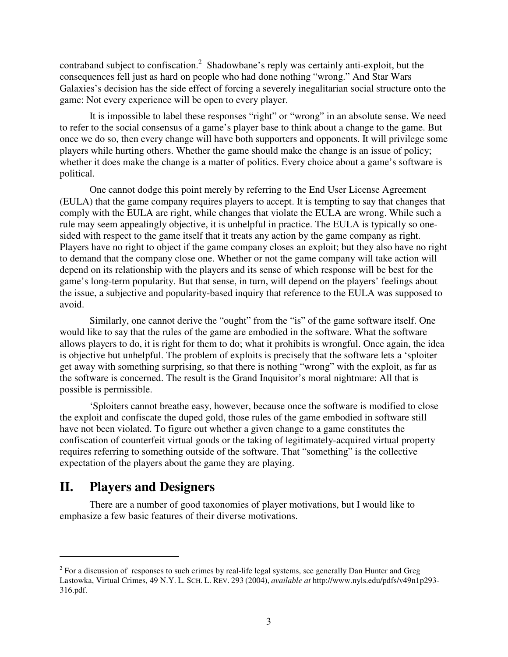contraband subject to confiscation.<sup>2</sup> Shadowbane's reply was certainly anti-exploit, but the consequences fell just as hard on people who had done nothing "wrong." And Star Wars Galaxies's decision has the side effect of forcing a severely inegalitarian social structure onto the game: Not every experience will be open to every player.

It is impossible to label these responses "right" or "wrong" in an absolute sense. We need to refer to the social consensus of a game's player base to think about a change to the game. But once we do so, then every change will have both supporters and opponents. It will privilege some players while hurting others. Whether the game should make the change is an issue of policy; whether it does make the change is a matter of politics. Every choice about a game's software is political.

One cannot dodge this point merely by referring to the End User License Agreement (EULA) that the game company requires players to accept. It is tempting to say that changes that comply with the EULA are right, while changes that violate the EULA are wrong. While such a rule may seem appealingly objective, it is unhelpful in practice. The EULA is typically so onesided with respect to the game itself that it treats any action by the game company as right. Players have no right to object if the game company closes an exploit; but they also have no right to demand that the company close one. Whether or not the game company will take action will depend on its relationship with the players and its sense of which response will be best for the game's long-term popularity. But that sense, in turn, will depend on the players' feelings about the issue, a subjective and popularity-based inquiry that reference to the EULA was supposed to avoid.

Similarly, one cannot derive the "ought" from the "is" of the game software itself. One would like to say that the rules of the game are embodied in the software. What the software allows players to do, it is right for them to do; what it prohibits is wrongful. Once again, the idea is objective but unhelpful. The problem of exploits is precisely that the software lets a 'sploiter get away with something surprising, so that there is nothing "wrong" with the exploit, as far as the software is concerned. The result is the Grand Inquisitor's moral nightmare: All that is possible is permissible.

'Sploiters cannot breathe easy, however, because once the software is modified to close the exploit and confiscate the duped gold, those rules of the game embodied in software still have not been violated. To figure out whether a given change to a game constitutes the confiscation of counterfeit virtual goods or the taking of legitimately-acquired virtual property requires referring to something outside of the software. That "something" is the collective expectation of the players about the game they are playing.

## **II. Players and Designers**

There are a number of good taxonomies of player motivations, but I would like to emphasize a few basic features of their diverse motivations.

 $2$  For a discussion of responses to such crimes by real-life legal systems, see generally Dan Hunter and Greg Lastowka, Virtual Crimes, 49 N.Y. L. SCH. L. REV. 293 (2004), *available at* http://www.nyls.edu/pdfs/v49n1p293- 316.pdf.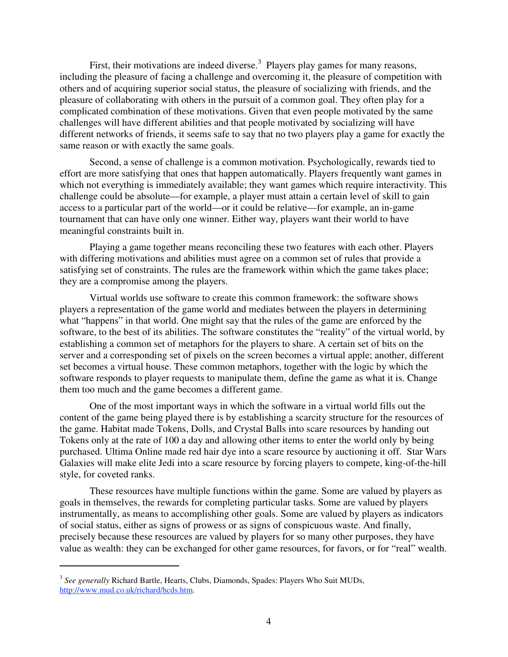First, their motivations are indeed diverse.<sup>3</sup> Players play games for many reasons, including the pleasure of facing a challenge and overcoming it, the pleasure of competition with others and of acquiring superior social status, the pleasure of socializing with friends, and the pleasure of collaborating with others in the pursuit of a common goal. They often play for a complicated combination of these motivations. Given that even people motivated by the same challenges will have different abilities and that people motivated by socializing will have different networks of friends, it seems safe to say that no two players play a game for exactly the same reason or with exactly the same goals.

Second, a sense of challenge is a common motivation. Psychologically, rewards tied to effort are more satisfying that ones that happen automatically. Players frequently want games in which not everything is immediately available; they want games which require interactivity. This challenge could be absolute—for example, a player must attain a certain level of skill to gain access to a particular part of the world—or it could be relative—for example, an in-game tournament that can have only one winner. Either way, players want their world to have meaningful constraints built in.

Playing a game together means reconciling these two features with each other. Players with differing motivations and abilities must agree on a common set of rules that provide a satisfying set of constraints. The rules are the framework within which the game takes place; they are a compromise among the players.

Virtual worlds use software to create this common framework: the software shows players a representation of the game world and mediates between the players in determining what "happens" in that world. One might say that the rules of the game are enforced by the software, to the best of its abilities. The software constitutes the "reality" of the virtual world, by establishing a common set of metaphors for the players to share. A certain set of bits on the server and a corresponding set of pixels on the screen becomes a virtual apple; another, different set becomes a virtual house. These common metaphors, together with the logic by which the software responds to player requests to manipulate them, define the game as what it is. Change them too much and the game becomes a different game.

One of the most important ways in which the software in a virtual world fills out the content of the game being played there is by establishing a scarcity structure for the resources of the game. Habitat made Tokens, Dolls, and Crystal Balls into scare resources by handing out Tokens only at the rate of 100 a day and allowing other items to enter the world only by being purchased. Ultima Online made red hair dye into a scare resource by auctioning it off. Star Wars Galaxies will make elite Jedi into a scare resource by forcing players to compete, king-of-the-hill style, for coveted ranks.

These resources have multiple functions within the game. Some are valued by players as goals in themselves, the rewards for completing particular tasks. Some are valued by players instrumentally, as means to accomplishing other goals. Some are valued by players as indicators of social status, either as signs of prowess or as signs of conspicuous waste. And finally, precisely because these resources are valued by players for so many other purposes, they have value as wealth: they can be exchanged for other game resources, for favors, or for "real" wealth.

<sup>3</sup> *See generally* Richard Bartle, Hearts, Clubs, Diamonds, Spades: Players Who Suit MUDs, http://www.mud.co.uk/richard/hcds.htm.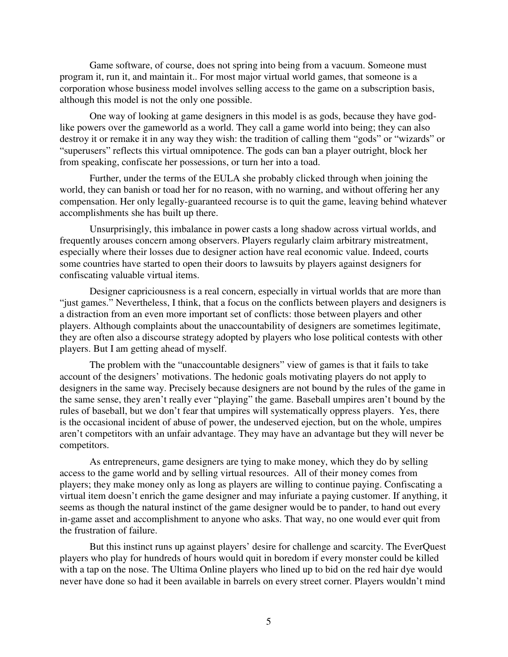Game software, of course, does not spring into being from a vacuum. Someone must program it, run it, and maintain it.. For most major virtual world games, that someone is a corporation whose business model involves selling access to the game on a subscription basis, although this model is not the only one possible.

One way of looking at game designers in this model is as gods, because they have godlike powers over the gameworld as a world. They call a game world into being; they can also destroy it or remake it in any way they wish: the tradition of calling them "gods" or "wizards" or "superusers" reflects this virtual omnipotence. The gods can ban a player outright, block her from speaking, confiscate her possessions, or turn her into a toad.

Further, under the terms of the EULA she probably clicked through when joining the world, they can banish or toad her for no reason, with no warning, and without offering her any compensation. Her only legally-guaranteed recourse is to quit the game, leaving behind whatever accomplishments she has built up there.

Unsurprisingly, this imbalance in power casts a long shadow across virtual worlds, and frequently arouses concern among observers. Players regularly claim arbitrary mistreatment, especially where their losses due to designer action have real economic value. Indeed, courts some countries have started to open their doors to lawsuits by players against designers for confiscating valuable virtual items.

Designer capriciousness is a real concern, especially in virtual worlds that are more than "just games." Nevertheless, I think, that a focus on the conflicts between players and designers is a distraction from an even more important set of conflicts: those between players and other players. Although complaints about the unaccountability of designers are sometimes legitimate, they are often also a discourse strategy adopted by players who lose political contests with other players. But I am getting ahead of myself.

The problem with the "unaccountable designers" view of games is that it fails to take account of the designers' motivations. The hedonic goals motivating players do not apply to designers in the same way. Precisely because designers are not bound by the rules of the game in the same sense, they aren't really ever "playing" the game. Baseball umpires aren't bound by the rules of baseball, but we don't fear that umpires will systematically oppress players. Yes, there is the occasional incident of abuse of power, the undeserved ejection, but on the whole, umpires aren't competitors with an unfair advantage. They may have an advantage but they will never be competitors.

As entrepreneurs, game designers are tying to make money, which they do by selling access to the game world and by selling virtual resources. All of their money comes from players; they make money only as long as players are willing to continue paying. Confiscating a virtual item doesn't enrich the game designer and may infuriate a paying customer. If anything, it seems as though the natural instinct of the game designer would be to pander, to hand out every in-game asset and accomplishment to anyone who asks. That way, no one would ever quit from the frustration of failure.

But this instinct runs up against players' desire for challenge and scarcity. The EverQuest players who play for hundreds of hours would quit in boredom if every monster could be killed with a tap on the nose. The Ultima Online players who lined up to bid on the red hair dye would never have done so had it been available in barrels on every street corner. Players wouldn't mind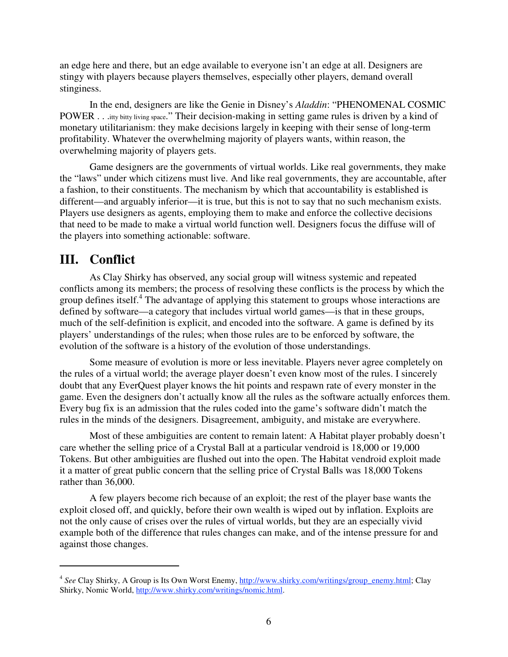an edge here and there, but an edge available to everyone isn't an edge at all. Designers are stingy with players because players themselves, especially other players, demand overall stinginess.

In the end, designers are like the Genie in Disney's *Aladdin*: "PHENOMENAL COSMIC POWER . . .itty bitty living space." Their decision-making in setting game rules is driven by a kind of monetary utilitarianism: they make decisions largely in keeping with their sense of long-term profitability. Whatever the overwhelming majority of players wants, within reason, the overwhelming majority of players gets.

Game designers are the governments of virtual worlds. Like real governments, they make the "laws" under which citizens must live. And like real governments, they are accountable, after a fashion, to their constituents. The mechanism by which that accountability is established is different—and arguably inferior—it is true, but this is not to say that no such mechanism exists. Players use designers as agents, employing them to make and enforce the collective decisions that need to be made to make a virtual world function well. Designers focus the diffuse will of the players into something actionable: software.

#### **III. Conflict**

As Clay Shirky has observed, any social group will witness systemic and repeated conflicts among its members; the process of resolving these conflicts is the process by which the group defines itself. <sup>4</sup> The advantage of applying this statement to groups whose interactions are defined by software—a category that includes virtual world games—is that in these groups, much of the self-definition is explicit, and encoded into the software. A game is defined by its players' understandings of the rules; when those rules are to be enforced by software, the evolution of the software is a history of the evolution of those understandings.

Some measure of evolution is more or less inevitable. Players never agree completely on the rules of a virtual world; the average player doesn't even know most of the rules. I sincerely doubt that any EverQuest player knows the hit points and respawn rate of every monster in the game. Even the designers don't actually know all the rules as the software actually enforces them. Every bug fix is an admission that the rules coded into the game's software didn't match the rules in the minds of the designers. Disagreement, ambiguity, and mistake are everywhere.

Most of these ambiguities are content to remain latent: A Habitat player probably doesn't care whether the selling price of a Crystal Ball at a particular vendroid is 18,000 or 19,000 Tokens. But other ambiguities are flushed out into the open. The Habitat vendroid exploit made it a matter of great public concern that the selling price of Crystal Balls was 18,000 Tokens rather than 36,000.

A few players become rich because of an exploit; the rest of the player base wants the exploit closed off, and quickly, before their own wealth is wiped out by inflation. Exploits are not the only cause of crises over the rules of virtual worlds, but they are an especially vivid example both of the difference that rules changes can make, and of the intense pressure for and against those changes.

<sup>&</sup>lt;sup>4</sup> See Clay Shirky, A Group is Its Own Worst Enemy, http://www.shirky.com/writings/group\_enemy.html; Clay Shirky, Nomic World, http://www.shirky.com/writings/nomic.html.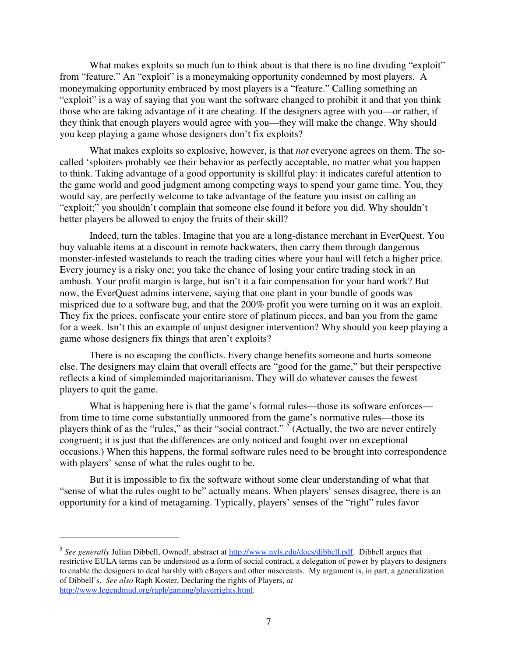What makes exploits so much fun to think about is that there is no line dividing "exploit" from "feature." An "exploit" is a moneymaking opportunity condemned by most players. A moneymaking opportunity embraced by most players is a "feature." Calling something an "exploit" is a way of saying that you want the software changed to prohibit it and that you think those who are taking advantage of it are cheating. If the designers agree with you—or rather, if they think that enough players would agree with you—they will make the change. Why should you keep playing a game whose designers don't fix exploits?

What makes exploits so explosive, however, is that *not* everyone agrees on them. The socalled 'sploiters probably see their behavior as perfectly acceptable, no matter what you happen to think. Taking advantage of a good opportunity is skillful play: it indicates careful attention to the game world and good judgment among competing ways to spend your game time. You, they would say, are perfectly welcome to take advantage of the feature you insist on calling an "exploit;" you shouldn't complain that someone else found it before you did. Why shouldn't better players be allowed to enjoy the fruits of their skill?

Indeed, turn the tables. Imagine that you are a long-distance merchant in EverQuest. You buy valuable items at a discount in remote backwaters, then carry them through dangerous monster-infested wastelands to reach the trading cities where your haul will fetch a higher price. Every journey is a risky one; you take the chance of losing your entire trading stock in an ambush. Your profit margin is large, but isn't it a fair compensation for your hard work? But now, the EverQuest admins intervene, saying that one plant in your bundle of goods was mispriced due to a software bug, and that the 200% profit you were turning on it was an exploit. They fix the prices, confiscate your entire store of platinum pieces, and ban you from the game for a week. Isn't this an example of unjust designer intervention? Why should you keep playing a game whose designers fix things that aren't exploits?

There is no escaping the conflicts. Every change benefits someone and hurts someone else. The designers may claim that overall effects are "good for the game," but their perspective reflects a kind of simpleminded majoritarianism. They will do whatever causes the fewest players to quit the game.

What is happening here is that the game's formal rules—those its software enforces from time to time come substantially unmoored from the game's normative rules—those its players think of as the "rules," as their "social contract."  $\sqrt{5}$  (Actually, the two are never entirely congruent; it is just that the differences are only noticed and fought over on exceptional occasions.) When this happens, the formal software rules need to be brought into correspondence with players' sense of what the rules ought to be.

But it is impossible to fix the software without some clear understanding of what that "sense of what the rules ought to be" actually means. When players' senses disagree, there is an opportunity for a kind of metagaming. Typically, players' senses of the "right" rules favor

<sup>&</sup>lt;sup>5</sup> See generally Julian Dibbell, Owned!, abstract at http://www.nyls.edu/docs/dibbell.pdf. Dibbell argues that restrictive EULA terms can be understood as a form of social contract, a delegation of power by players to designers to enable the designers to deal harshly with eBayers and other miscreants. My argument is, in part, a generalization of Dibbell's. *See also* Raph Koster, Declaring the rights of Players, *at* http://www.legendmud.org/raph/gaming/playerrights.html.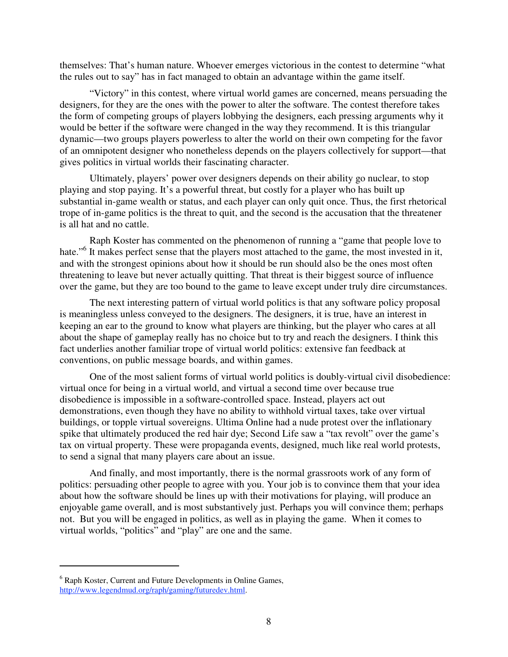themselves: That's human nature. Whoever emerges victorious in the contest to determine "what the rules out to say" has in fact managed to obtain an advantage within the game itself.

"Victory" in this contest, where virtual world games are concerned, means persuading the designers, for they are the ones with the power to alter the software. The contest therefore takes the form of competing groups of players lobbying the designers, each pressing arguments why it would be better if the software were changed in the way they recommend. It is this triangular dynamic—two groups players powerless to alter the world on their own competing for the favor of an omnipotent designer who nonetheless depends on the players collectively for support—that gives politics in virtual worlds their fascinating character.

Ultimately, players' power over designers depends on their ability go nuclear, to stop playing and stop paying. It's a powerful threat, but costly for a player who has built up substantial in-game wealth or status, and each player can only quit once. Thus, the first rhetorical trope of in-game politics is the threat to quit, and the second is the accusation that the threatener is all hat and no cattle.

Raph Koster has commented on the phenomenon of running a "game that people love to hate."<sup>6</sup> It makes perfect sense that the players most attached to the game, the most invested in it, and with the strongest opinions about how it should be run should also be the ones most often threatening to leave but never actually quitting. That threat is their biggest source of influence over the game, but they are too bound to the game to leave except under truly dire circumstances.

The next interesting pattern of virtual world politics is that any software policy proposal is meaningless unless conveyed to the designers. The designers, it is true, have an interest in keeping an ear to the ground to know what players are thinking, but the player who cares at all about the shape of gameplay really has no choice but to try and reach the designers. I think this fact underlies another familiar trope of virtual world politics: extensive fan feedback at conventions, on public message boards, and within games.

One of the most salient forms of virtual world politics is doubly-virtual civil disobedience: virtual once for being in a virtual world, and virtual a second time over because true disobedience is impossible in a software-controlled space. Instead, players act out demonstrations, even though they have no ability to withhold virtual taxes, take over virtual buildings, or topple virtual sovereigns. Ultima Online had a nude protest over the inflationary spike that ultimately produced the red hair dye; Second Life saw a "tax revolt" over the game's tax on virtual property. These were propaganda events, designed, much like real world protests, to send a signal that many players care about an issue.

And finally, and most importantly, there is the normal grassroots work of any form of politics: persuading other people to agree with you. Your job is to convince them that your idea about how the software should be lines up with their motivations for playing, will produce an enjoyable game overall, and is most substantively just. Perhaps you will convince them; perhaps not. But you will be engaged in politics, as well as in playing the game. When it comes to virtual worlds, "politics" and "play" are one and the same.

<sup>&</sup>lt;sup>6</sup> Raph Koster, Current and Future Developments in Online Games, http://www.legendmud.org/raph/gaming/futuredev.html.